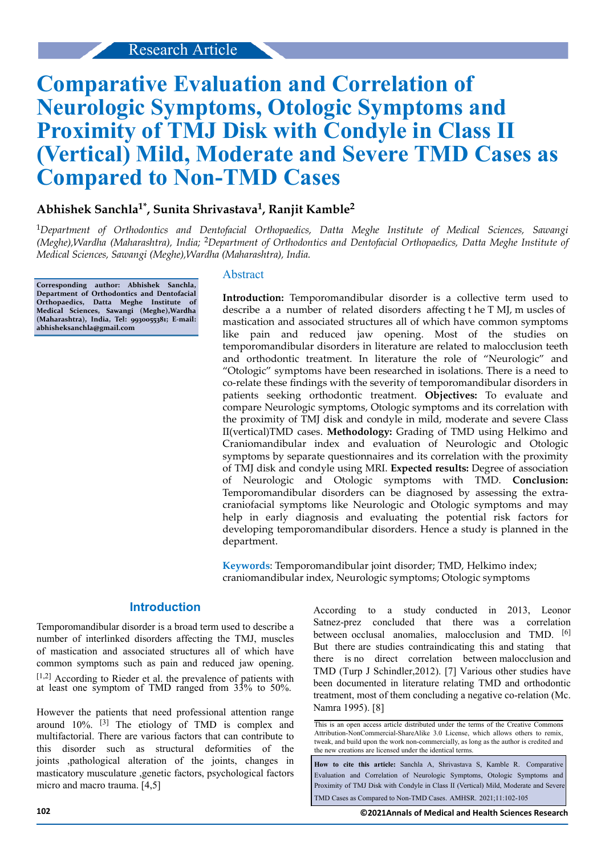# **Comparative Evaluation and Correlation of Neurologic Symptoms, Otologic Symptoms and Proximity of TMJ Disk with Condyle in Class II (Vertical) Mild, Moderate and Severe TMD Cases as Compared to Non-TMD Cases**

# **Abhishek Sanchla1\*, Sunita Shrivastava<sup>1</sup> , Ranjit Kamble<sup>2</sup>**

<sup>1</sup>*Department of Orthodontics and Dentofacial Orthopaedics, Datta Meghe Institute of Medical Sciences, Sawangi (Meghe),Wardha (Maharashtra), India;* 2*Department of Orthodontics and Dentofacial Orthopaedics, Datta Meghe Institute of Medical Sciences, Sawangi (Meghe),Wardha (Maharashtra), India.*

**Corresponding author: Abhishek Sanchla, Department of Orthodontics and Dentofacial Orthopaedics, Datta Meghe Institute of Medical Sciences, Sawangi (Meghe),Wardha (Maharashtra), India, Tel: 9930055381; E-mail: abhisheksanchla@gmail.com**

#### Abstract

Introduction: Temporomandibular disorder is a collective term used to describe a a number of related disorders affecting  $t$  he T MJ, m uscles of mastication and associated structures all of which have common symptoms like pain and reduced jaw opening. Most of the studies on temporomandibular disorders in literature are related to malocclusion teeth and orthodontic treatment. In literature the role of "Neurologic" and "Otologic" symptoms have been researched in isolations. There is a need to co-relate these findings with the severity of temporomandibular disorders in patients seeking orthodontic treatment. **Objectives:** To evaluate and compare Neurologic symptoms, Otologic symptoms and its correlation with the proximity of TMJ disk and condyle in mild, moderate and severe Class II(vertical)TMD cases. **Methodology:** Grading of TMD using Helkimo and Craniomandibular index and evaluation of Neurologic and Otologic symptoms by separate questionnaires and its correlation with the proximity of TMJ disk and condyle using MRI. **Expected results:** Degree of association of Neurologic and Otologic symptoms with TMD. **Conclusion:** Temporomandibular disorders can be diagnosed by assessing the extracraniofacial symptoms like Neurologic and Otologic symptoms and may help in early diagnosis and evaluating the potential risk factors for developing temporomandibular disorders. Hence a study is planned in the department.

**Keywords**: Temporomandibular joint disorder; TMD, Helkimo index; craniomandibular index, Neurologic symptoms; Otologic symptoms

#### **Introduction**

Temporomandibular disorder is a broad term used to describe a number of interlinked disorders affecting the TMJ, muscles of mastication and associated structures all of which have common symptoms such as pain and reduced jaw opening. [1,2] According to Rieder et al. the prevalence of patients with at least one symptom of TMD ranged from 33% to 50%.

However the patients that need professional attention range around 10%. [3] The etiology of TMD is complex and multifactorial. There are various factors that can contribute to this disorder such as structural deformities of the joints ,pathological alteration of the joints, changes in masticatory musculature ,genetic factors, psychological factors micro and macro trauma. [4,5]

According to a study conducted in 2013, Leonor Satnez-prez concluded that there was a correlation between occlusal anomalies, malocclusion and TMD. <sup>[6]</sup> But there are studies contraindicating this and stating that there is no direct correlation between malocclusion and TMD (Turp J Schindler,2012). [7] Various other studies have been documented in literature relating TMD and orthodontic treatment, most of them concluding a negative co-relation (Mc. Namra 1995). [8]

This is an open access article distributed under the terms of the Creative Commons Attribution-NonCommercial-ShareAlike 3.0 License, which allows others to remix, tweak, and build upon the work non‑commercially, as long as the author is credited and the new creations are licensed under the identical terms.

**How to cite this article:** Sanchla A, Shrivastava S, Kamble R. Comparative Evaluation and Correlation of Neurologic Symptoms, Otologic Symptoms and Proximity of TMJ Disk with Condyle in Class II (Vertical) Mild, Moderate and Severe TMD Cases as Compared to Non-TMD Cases. AMHSR. 2021;11:102-105

**102 ©2021Annals of Medical and Health Sciences Research**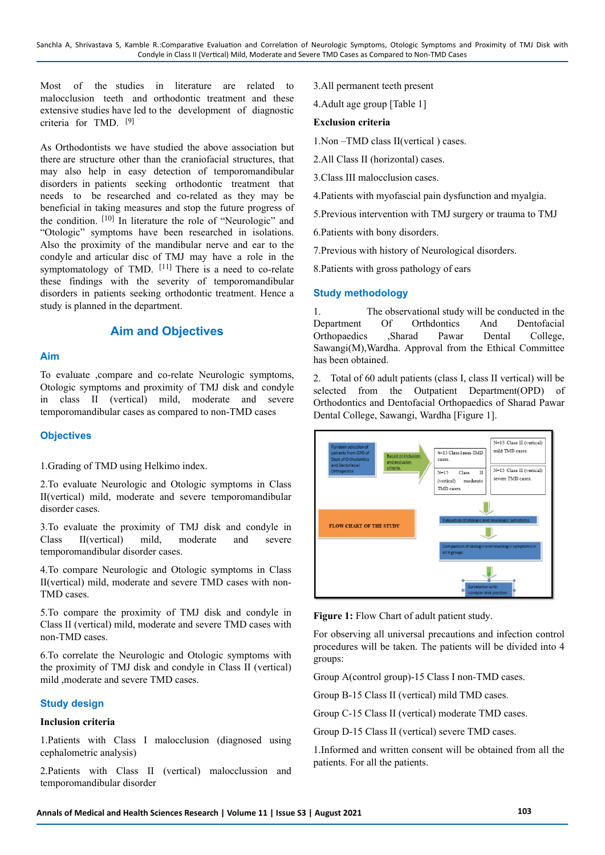Most of the studies in literature are related to malocclusion teeth and orthodontic treatment and these extensive studies have led to the development of diagnostic criteria for TMD. [9]

As Orthodontists we have studied the above association but there are structure other than the craniofacial structures, that may also help in easy detection of temporomandibular disorders in patients seeking orthodontic treatment that needs to be researched and co-related as they may be beneficial in taking measures and stop the future progress of the condition. [10] In literature the role of "Neurologic" and "Otologic" symptoms have been researched in isolations. Also the proximity of the mandibular nerve and ear to the condyle and articular disc of TMJ may have a role in the symptomatology of TMD. <sup>[11]</sup> There is a need to co-relate these findings with the severity of temporomandibular disorders in patients seeking orthodontic treatment. Hence a study is planned in the department.

# **Aim and Objectives**

#### **Aim**

To evaluate ,compare and co-relate Neurologic symptoms, Otologic symptoms and proximity of TMJ disk and condyle in class II (vertical) mild, moderate and severe temporomandibular cases as compared to non-TMD cases

#### **Objectives**

1.Grading of TMD using Helkimo index.

2.To evaluate Neurologic and Otologic symptoms in Class II(vertical) mild, moderate and severe temporomandibular disorder cases.

3.To evaluate the proximity of TMJ disk and condyle in Class II(vertical) mild, moderate and severe temporomandibular disorder cases.

4.To compare Neurologic and Otologic symptoms in Class II(vertical) mild, moderate and severe TMD cases with non-TMD cases.

5.To compare the proximity of TMJ disk and condyle in Class II (vertical) mild, moderate and severe TMD cases with non-TMD cases.

6.To correlate the Neurologic and Otologic symptoms with the proximity of TMJ disk and condyle in Class II (vertical) mild ,moderate and severe TMD cases.

## **Study design**

#### **Inclusion criteria**

1.Patients with Class I malocclusion (diagnosed using cephalometric analysis)

2.Patients with Class II (vertical) malocclussion and temporomandibular disorder

3.All permanent teeth present

4.Adult age group [Table 1]

#### **Exclusion criteria**

- 1.Non –TMD class II(vertical ) cases.
- 2.All Class II (horizontal) cases.
- 3.Class III malocclusion cases.

4.Patients with myofascial pain dysfunction and myalgia.

5.Previous intervention with TMJ surgery or trauma to TMJ

6.Patients with bony disorders.

7.Previous with history of Neurological disorders.

8.Patients with gross pathology of ears

#### **Study methodology**

1. The observational study will be conducted in the Department Of Orthdontics And Dentofacial Orthopaedics ,Sharad Pawar Dental College, Sawangi(M),Wardha. Approval from the Ethical Committee has been obtained.

2. Total of 60 adult patients (class I, class II vertical) will be selected from the Outpatient Department(OPD) of Orthodontics and Dentofacial Orthopaedics of Sharad Pawar Dental College, Sawangi, Wardha [Figure 1].





For observing all universal precautions and infection control procedures will be taken. The patients will be divided into 4 groups:

Group A(control group)-15 Class I non-TMD cases.

Group B-15 Class II (vertical) mild TMD cases.

Group C-15 Class II (vertical) moderate TMD cases.

Group D-15 Class II (vertical) severe TMD cases.

1.Informed and written consent will be obtained from all the patients. For all the patients.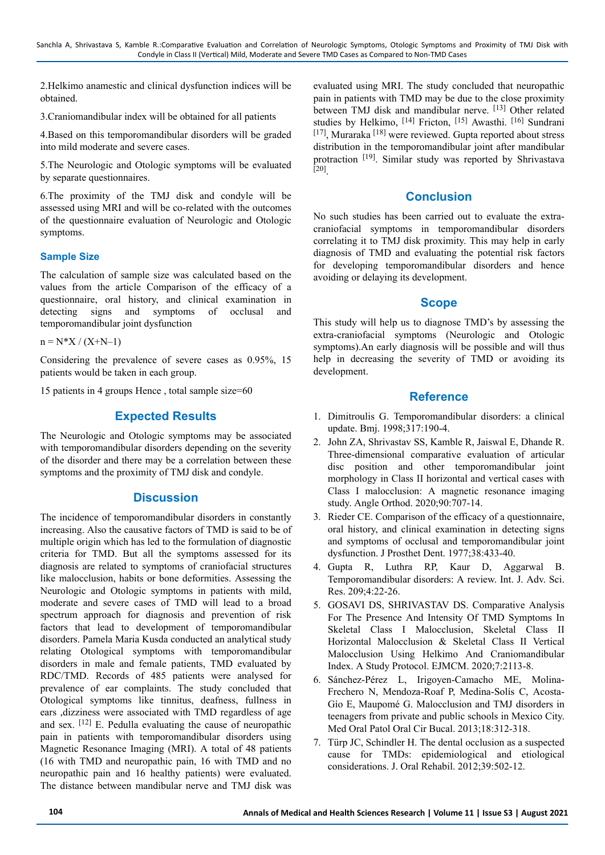2.Helkimo anamestic and clinical dysfunction indices will be obtained.

3.Craniomandibular index will be obtained for all patients

4.Based on this temporomandibular disorders will be graded into mild moderate and severe cases.

5.The Neurologic and Otologic symptoms will be evaluated by separate questionnaires.

6.The proximity of the TMJ disk and condyle will be assessed using MRI and will be co-related with the outcomes of the questionnaire evaluation of Neurologic and Otologic symptoms.

#### **Sample Size**

The calculation of sample size was calculated based on the values from the article Comparison of the efficacy of a questionnaire, oral history, and clinical examination in detecting signs and symptoms of occlusal and temporomandibular joint dysfunction

```
n = N^*X / (X+N-1)
```
Considering the prevalence of severe cases as 0.95%, 15 patients would be taken in each group.

15 patients in 4 groups Hence , total sample size=60

# **Expected Results**

The Neurologic and Otologic symptoms may be associated with temporomandibular disorders depending on the severity of the disorder and there may be a correlation between these symptoms and the proximity of TMJ disk and condyle.

# **Discussion**

The incidence of temporomandibular disorders in constantly increasing. Also the causative factors of TMD is said to be of multiple origin which has led to the formulation of diagnostic criteria for TMD. But all the symptoms assessed for its diagnosis are related to symptoms of craniofacial structures like malocclusion, habits or bone deformities. Assessing the Neurologic and Otologic symptoms in patients with mild, moderate and severe cases of TMD will lead to a broad spectrum approach for diagnosis and prevention of risk factors that lead to development of temporomandibular disorders. Pamela Maria Kusda conducted an analytical study relating Otological symptoms with temporomandibular disorders in male and female patients, TMD evaluated by RDC/TMD. Records of 485 patients were analysed for prevalence of ear complaints. The study concluded that Otological symptoms like tinnitus, deafness, fullness in ears ,dizziness were associated with TMD regardless of age and sex. [12] E. Pedulla evaluating the cause of neuropathic pain in patients with temporomandibular disorders using Magnetic Resonance Imaging (MRI). A total of 48 patients (16 with TMD and neuropathic pain, 16 with TMD and no neuropathic pain and 16 healthy patients) were evaluated. The distance between mandibular nerve and TMJ disk was

evaluated using MRI. The study concluded that neuropathic pain in patients with TMD may be due to the close proximity between TMJ disk and mandibular nerve. [13] Other related studies by Helkimo, [14] Fricton, [15] Awasthi. [16] Sundrani [17], Muraraka [18] were reviewed. Gupta reported about stress distribution in the temporomandibular joint after mandibular protraction <sup>[19]</sup>. Similar study was reported by Shrivastava [20] .

# **Conclusion**

No such studies has been carried out to evaluate the extracraniofacial symptoms in temporomandibular disorders correlating it to TMJ disk proximity. This may help in early diagnosis of TMD and evaluating the potential risk factors for developing temporomandibular disorders and hence avoiding or delaying its development.

## **Scope**

This study will help us to diagnose TMD's by assessing the extra-craniofacial symptoms (Neurologic and Otologic symptoms).An early diagnosis will be possible and will thus help in decreasing the severity of TMD or avoiding its development.

#### **Reference**

- 1. Dimitroulis G. Temporomandibular disorders: a clinical update. Bmj. 1998;317:190-4.
- 2. John ZA, Shrivastav SS, Kamble R, Jaiswal E, Dhande R. Three-dimensional comparative evaluation of articular disc position and other temporomandibular joint morphology in Class II horizontal and vertical cases with Class I malocclusion: A magnetic resonance imaging study. Angle Orthod. 2020;90:707-14.
- 3. Rieder CE. Comparison of the efficacy of a questionnaire, oral history, and clinical examination in detecting signs and symptoms of occlusal and temporomandibular joint dysfunction. J Prosthet Dent. 1977;38:433-40.
- 4. Gupta R, Luthra RP, Kaur D, Aggarwal B. Temporomandibular disorders: A review. Int. J. Adv. Sci. Res. 209;4:22-26.
- 5. GOSAVI DS, SHRIVASTAV DS. Comparative Analysis For The Presence And Intensity Of TMD Symptoms In Skeletal Class I Malocclusion, Skeletal Class II Horizontal Malocclusion & Skeletal Class II Vertical Malocclusion Using Helkimo And Craniomandibular Index. A Study Protocol. EJMCM. 2020;7:2113-8.
- 6. Sánchez-Pérez L, Irigoyen-Camacho ME, Molina-Frechero N, Mendoza-Roaf P, Medina-Solís C, Acosta-Gío E, Maupomé G. Malocclusion and TMJ disorders in teenagers from private and public schools in Mexico City. Med Oral Patol Oral Cir Bucal. 2013;18:312-318.
- 7. Türp JC, Schindler H. The dental occlusion as a suspected cause for TMDs: epidemiological and etiological considerations. J. Oral Rehabil. 2012;39:502-12.